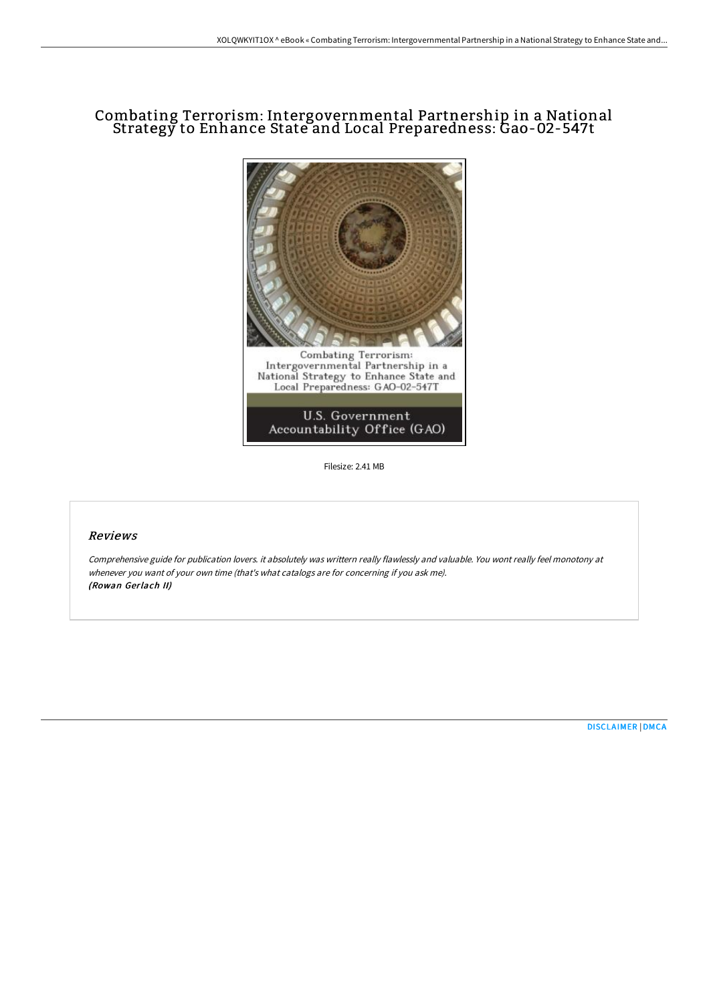# Combating Terrorism: Intergovernmental Partnership in a National Strategy to Enhance State and Local Preparedness: Gao-02-547t



Filesize: 2.41 MB

## Reviews

Comprehensive guide for publication lovers. it absolutely was writtern really flawlessly and valuable. You wont really feel monotony at whenever you want of your own time (that's what catalogs are for concerning if you ask me). (Rowan Gerlach II)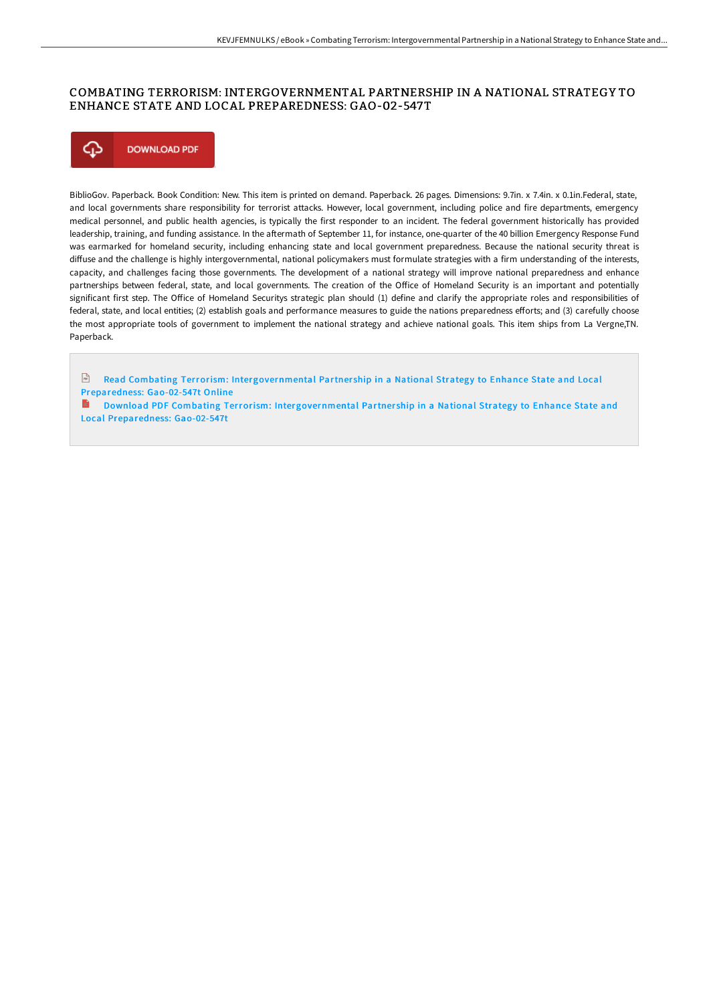### COMBATING TERRORISM: INTERGOVERNMENTAL PARTNERSHIP IN A NATIONAL STRATEGY TO ENHANCE STATE AND LOCAL PREPAREDNESS: GAO-02-547T



BiblioGov. Paperback. Book Condition: New. This item is printed on demand. Paperback. 26 pages. Dimensions: 9.7in. x 7.4in. x 0.1in.Federal, state, and local governments share responsibility for terrorist attacks. However, local government, including police and fire departments, emergency medical personnel, and public health agencies, is typically the first responder to an incident. The federal government historically has provided leadership, training, and funding assistance. In the aftermath of September 11, for instance, one-quarter of the 40 billion Emergency Response Fund was earmarked for homeland security, including enhancing state and local government preparedness. Because the national security threat is diffuse and the challenge is highly intergovernmental, national policymakers must formulate strategies with a firm understanding of the interests, capacity, and challenges facing those governments. The development of a national strategy will improve national preparedness and enhance partnerships between federal, state, and local governments. The creation of the Office of Homeland Security is an important and potentially significant first step. The Office of Homeland Securitys strategic plan should (1) define and clarify the appropriate roles and responsibilities of federal, state, and local entities; (2) establish goals and performance measures to guide the nations preparedness efforts; and (3) carefully choose the most appropriate tools of government to implement the national strategy and achieve national goals. This item ships from La Vergne,TN. Paperback.

**Read Combating Terrorism: [Intergovernmental](http://techno-pub.tech/combating-terrorism-intergovernmental-partnershi.html) Partnership in a National Strategy to Enhance State and Local** Preparedness: Gao-02-547t Online

**Download PDF Combating Terrorism: [Intergovernmental](http://techno-pub.tech/combating-terrorism-intergovernmental-partnershi.html) Partnership in a National Strategy to Enhance State and** Local Preparedness: Gao-02-547t